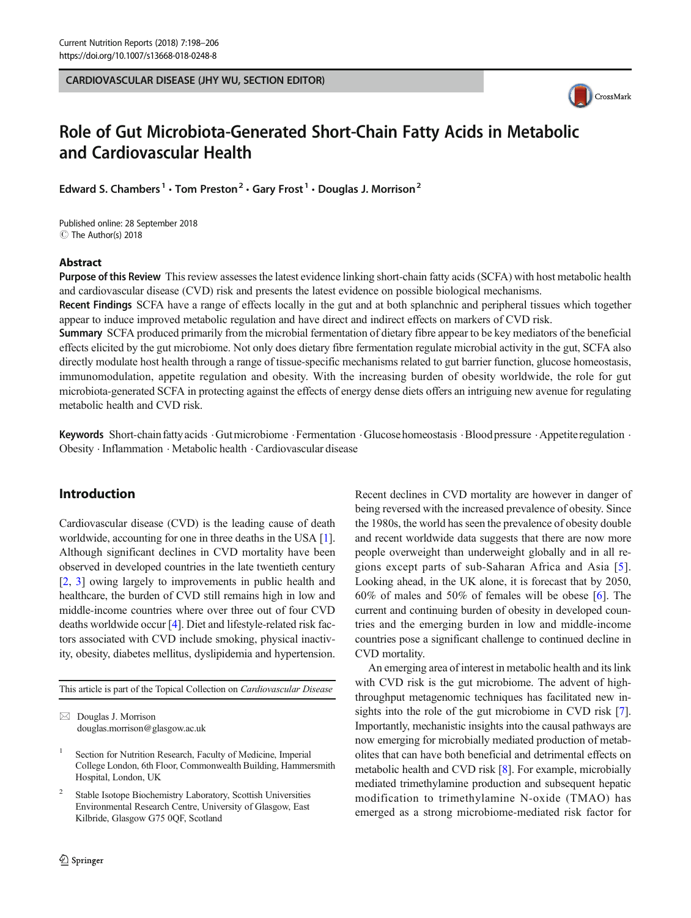CARDIOVASCULAR DISEASE (JHY WU, SECTION EDITOR)



# Role of Gut Microbiota-Generated Short-Chain Fatty Acids in Metabolic and Cardiovascular Health

Edward S. Chambers<sup>1</sup>  $\cdot$  Tom Preston<sup>2</sup>  $\cdot$  Gary Frost<sup>1</sup>  $\cdot$  Douglas J. Morrison<sup>2</sup>

Published online: 28 September 2018 © The Author(s) 2018

### Abstract

Purpose of this Review This review assesses the latest evidence linking short-chain fatty acids (SCFA) with host metabolic health and cardiovascular disease (CVD) risk and presents the latest evidence on possible biological mechanisms.

Recent Findings SCFA have a range of effects locally in the gut and at both splanchnic and peripheral tissues which together appear to induce improved metabolic regulation and have direct and indirect effects on markers of CVD risk.

Summary SCFA produced primarily from the microbial fermentation of dietary fibre appear to be key mediators of the beneficial effects elicited by the gut microbiome. Not only does dietary fibre fermentation regulate microbial activity in the gut, SCFA also directly modulate host health through a range of tissue-specific mechanisms related to gut barrier function, glucose homeostasis, immunomodulation, appetite regulation and obesity. With the increasing burden of obesity worldwide, the role for gut microbiota-generated SCFA in protecting against the effects of energy dense diets offers an intriguing new avenue for regulating metabolic health and CVD risk.

Keywords Short-chain fatty acids . Gut microbiome . Fermentation . Glucose homeostasis . Blood pressure . Appetite regulation . Obesity . Inflammation . Metabolic health . Cardiovascular disease

# Introduction

Cardiovascular disease (CVD) is the leading cause of death worldwide, accounting for one in three deaths in the USA [[1\]](#page-5-0). Although significant declines in CVD mortality have been observed in developed countries in the late twentieth century [\[2](#page-5-0), [3](#page-5-0)] owing largely to improvements in public health and healthcare, the burden of CVD still remains high in low and middle-income countries where over three out of four CVD deaths worldwide occur [\[4](#page-5-0)]. Diet and lifestyle-related risk factors associated with CVD include smoking, physical inactivity, obesity, diabetes mellitus, dyslipidemia and hypertension.

This article is part of the Topical Collection on Cardiovascular Disease

 $\boxtimes$  Douglas J. Morrison [douglas.morrison@glasgow.ac.uk](mailto:douglas.morrison@glasgow.ac.uk) Recent declines in CVD mortality are however in danger of being reversed with the increased prevalence of obesity. Since the 1980s, the world has seen the prevalence of obesity double and recent worldwide data suggests that there are now more people overweight than underweight globally and in all regions except parts of sub-Saharan Africa and Asia [[5](#page-5-0)]. Looking ahead, in the UK alone, it is forecast that by 2050, 60% of males and 50% of females will be obese [\[6](#page-5-0)]. The current and continuing burden of obesity in developed countries and the emerging burden in low and middle-income countries pose a significant challenge to continued decline in CVD mortality.

An emerging area of interest in metabolic health and its link with CVD risk is the gut microbiome. The advent of highthroughput metagenomic techniques has facilitated new insights into the role of the gut microbiome in CVD risk [[7\]](#page-5-0). Importantly, mechanistic insights into the causal pathways are now emerging for microbially mediated production of metabolites that can have both beneficial and detrimental effects on metabolic health and CVD risk [\[8\]](#page-5-0). For example, microbially mediated trimethylamine production and subsequent hepatic modification to trimethylamine N-oxide (TMAO) has emerged as a strong microbiome-mediated risk factor for

Section for Nutrition Research, Faculty of Medicine, Imperial College London, 6th Floor, Commonwealth Building, Hammersmith Hospital, London, UK

Stable Isotope Biochemistry Laboratory, Scottish Universities Environmental Research Centre, University of Glasgow, East Kilbride, Glasgow G75 0QF, Scotland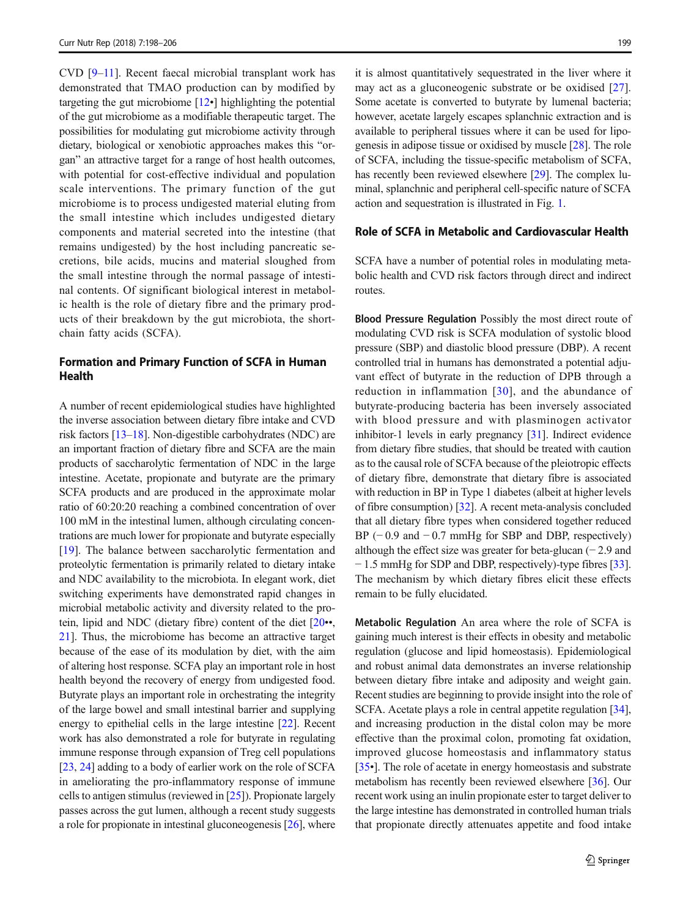CVD [\[9](#page-5-0)–[11\]](#page-5-0). Recent faecal microbial transplant work has demonstrated that TMAO production can by modified by targeting the gut microbiome  $[12\bullet]$  $[12\bullet]$  highlighting the potential of the gut microbiome as a modifiable therapeutic target. The possibilities for modulating gut microbiome activity through dietary, biological or xenobiotic approaches makes this "organ" an attractive target for a range of host health outcomes, with potential for cost-effective individual and population scale interventions. The primary function of the gut microbiome is to process undigested material eluting from the small intestine which includes undigested dietary components and material secreted into the intestine (that remains undigested) by the host including pancreatic secretions, bile acids, mucins and material sloughed from the small intestine through the normal passage of intestinal contents. Of significant biological interest in metabolic health is the role of dietary fibre and the primary products of their breakdown by the gut microbiota, the shortchain fatty acids (SCFA).

## Formation and Primary Function of SCFA in Human Health

A number of recent epidemiological studies have highlighted the inverse association between dietary fibre intake and CVD risk factors [\[13](#page-6-0)–[18\]](#page-6-0). Non-digestible carbohydrates (NDC) are an important fraction of dietary fibre and SCFA are the main products of saccharolytic fermentation of NDC in the large intestine. Acetate, propionate and butyrate are the primary SCFA products and are produced in the approximate molar ratio of 60:20:20 reaching a combined concentration of over 100 mM in the intestinal lumen, although circulating concentrations are much lower for propionate and butyrate especially [\[19](#page-6-0)]. The balance between saccharolytic fermentation and proteolytic fermentation is primarily related to dietary intake and NDC availability to the microbiota. In elegant work, diet switching experiments have demonstrated rapid changes in microbial metabolic activity and diversity related to the protein, lipid and NDC (dietary fibre) content of the diet [\[20](#page-6-0)••, [21\]](#page-6-0). Thus, the microbiome has become an attractive target because of the ease of its modulation by diet, with the aim of altering host response. SCFA play an important role in host health beyond the recovery of energy from undigested food. Butyrate plays an important role in orchestrating the integrity of the large bowel and small intestinal barrier and supplying energy to epithelial cells in the large intestine [[22\]](#page-6-0). Recent work has also demonstrated a role for butyrate in regulating immune response through expansion of Treg cell populations [\[23,](#page-6-0) [24\]](#page-6-0) adding to a body of earlier work on the role of SCFA in ameliorating the pro-inflammatory response of immune cells to antigen stimulus (reviewed in [\[25\]](#page-6-0)). Propionate largely passes across the gut lumen, although a recent study suggests a role for propionate in intestinal gluconeogenesis [[26\]](#page-6-0), where it is almost quantitatively sequestrated in the liver where it may act as a gluconeogenic substrate or be oxidised [[27\]](#page-6-0). Some acetate is converted to butyrate by lumenal bacteria; however, acetate largely escapes splanchnic extraction and is available to peripheral tissues where it can be used for lipogenesis in adipose tissue or oxidised by muscle [\[28\]](#page-6-0). The role of SCFA, including the tissue-specific metabolism of SCFA, has recently been reviewed elsewhere [[29](#page-6-0)]. The complex luminal, splanchnic and peripheral cell-specific nature of SCFA action and sequestration is illustrated in Fig. [1.](#page-2-0)

#### Role of SCFA in Metabolic and Cardiovascular Health

SCFA have a number of potential roles in modulating metabolic health and CVD risk factors through direct and indirect routes.

Blood Pressure Regulation Possibly the most direct route of modulating CVD risk is SCFA modulation of systolic blood pressure (SBP) and diastolic blood pressure (DBP). A recent controlled trial in humans has demonstrated a potential adjuvant effect of butyrate in the reduction of DPB through a reduction in inflammation  $[30]$  $[30]$ , and the abundance of butyrate-producing bacteria has been inversely associated with blood pressure and with plasminogen activator inhibitor-1 levels in early pregnancy [[31](#page-6-0)]. Indirect evidence from dietary fibre studies, that should be treated with caution as to the causal role of SCFA because of the pleiotropic effects of dietary fibre, demonstrate that dietary fibre is associated with reduction in BP in Type 1 diabetes (albeit at higher levels of fibre consumption) [[32\]](#page-6-0). A recent meta-analysis concluded that all dietary fibre types when considered together reduced BP  $(-0.9 \text{ and } -0.7 \text{ mmHg}$  for SBP and DBP, respectively) although the effect size was greater for beta-glucan (− 2.9 and − 1.5 mmHg for SDP and DBP, respectively)-type fibres [[33\]](#page-6-0). The mechanism by which dietary fibres elicit these effects remain to be fully elucidated.

Metabolic Regulation An area where the role of SCFA is gaining much interest is their effects in obesity and metabolic regulation (glucose and lipid homeostasis). Epidemiological and robust animal data demonstrates an inverse relationship between dietary fibre intake and adiposity and weight gain. Recent studies are beginning to provide insight into the role of SCFA. Acetate plays a role in central appetite regulation [[34\]](#page-6-0), and increasing production in the distal colon may be more effective than the proximal colon, promoting fat oxidation, improved glucose homeostasis and inflammatory status [\[35](#page-6-0)•]. The role of acetate in energy homeostasis and substrate metabolism has recently been reviewed elsewhere [\[36](#page-6-0)]. Our recent work using an inulin propionate ester to target deliver to the large intestine has demonstrated in controlled human trials that propionate directly attenuates appetite and food intake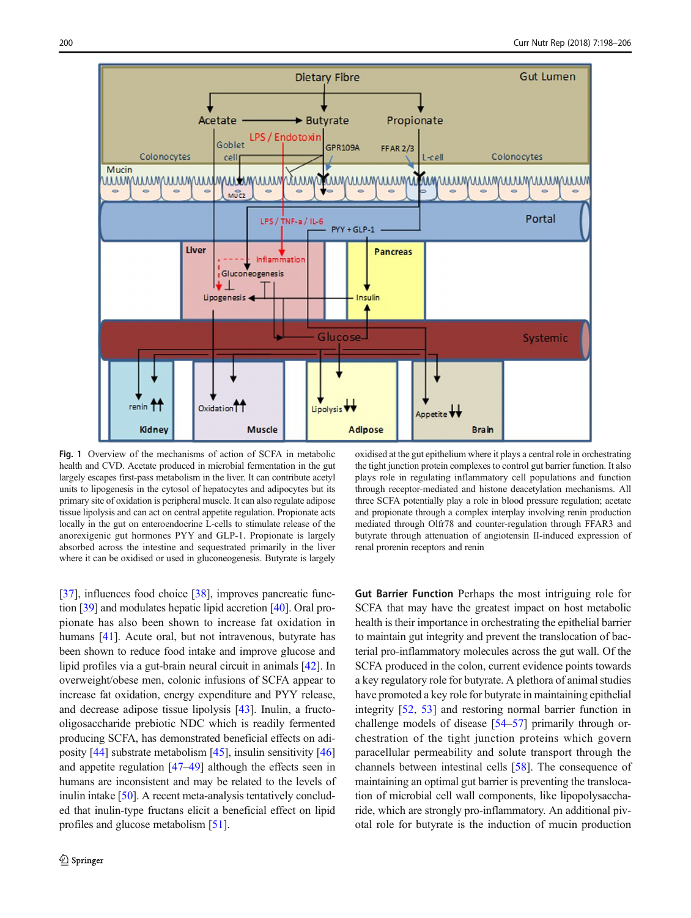<span id="page-2-0"></span>

Fig. 1 Overview of the mechanisms of action of SCFA in metabolic health and CVD. Acetate produced in microbial fermentation in the gut largely escapes first-pass metabolism in the liver. It can contribute acetyl units to lipogenesis in the cytosol of hepatocytes and adipocytes but its primary site of oxidation is peripheral muscle. It can also regulate adipose tissue lipolysis and can act on central appetite regulation. Propionate acts locally in the gut on enteroendocrine L-cells to stimulate release of the anorexigenic gut hormones PYY and GLP-1. Propionate is largely absorbed across the intestine and sequestrated primarily in the liver where it can be oxidised or used in gluconeogenesis. Butyrate is largely

[\[37\]](#page-6-0), influences food choice [\[38\]](#page-6-0), improves pancreatic function [\[39](#page-6-0)] and modulates hepatic lipid accretion [\[40\]](#page-6-0). Oral propionate has also been shown to increase fat oxidation in humans [\[41](#page-7-0)]. Acute oral, but not intravenous, butyrate has been shown to reduce food intake and improve glucose and lipid profiles via a gut-brain neural circuit in animals [[42\]](#page-7-0). In overweight/obese men, colonic infusions of SCFA appear to increase fat oxidation, energy expenditure and PYY release, and decrease adipose tissue lipolysis [[43\]](#page-7-0). Inulin, a fructooligosaccharide prebiotic NDC which is readily fermented producing SCFA, has demonstrated beneficial effects on adiposity [[44](#page-7-0)] substrate metabolism [[45\]](#page-7-0), insulin sensitivity [\[46\]](#page-7-0) and appetite regulation [\[47](#page-7-0)–[49\]](#page-7-0) although the effects seen in humans are inconsistent and may be related to the levels of inulin intake [[50](#page-7-0)]. A recent meta-analysis tentatively concluded that inulin-type fructans elicit a beneficial effect on lipid profiles and glucose metabolism [[51\]](#page-7-0).

oxidised at the gut epithelium where it plays a central role in orchestrating the tight junction protein complexes to control gut barrier function. It also plays role in regulating inflammatory cell populations and function through receptor-mediated and histone deacetylation mechanisms. All three SCFA potentially play a role in blood pressure regulation; acetate and propionate through a complex interplay involving renin production mediated through Olfr78 and counter-regulation through FFAR3 and butyrate through attenuation of angiotensin II-induced expression of renal prorenin receptors and renin

Gut Barrier Function Perhaps the most intriguing role for SCFA that may have the greatest impact on host metabolic health is their importance in orchestrating the epithelial barrier to maintain gut integrity and prevent the translocation of bacterial pro-inflammatory molecules across the gut wall. Of the SCFA produced in the colon, current evidence points towards a key regulatory role for butyrate. A plethora of animal studies have promoted a key role for butyrate in maintaining epithelial integrity [[52,](#page-7-0) [53](#page-7-0)] and restoring normal barrier function in challenge models of disease [[54](#page-7-0)–[57\]](#page-7-0) primarily through orchestration of the tight junction proteins which govern paracellular permeability and solute transport through the channels between intestinal cells [\[58](#page-7-0)]. The consequence of maintaining an optimal gut barrier is preventing the translocation of microbial cell wall components, like lipopolysaccharide, which are strongly pro-inflammatory. An additional pivotal role for butyrate is the induction of mucin production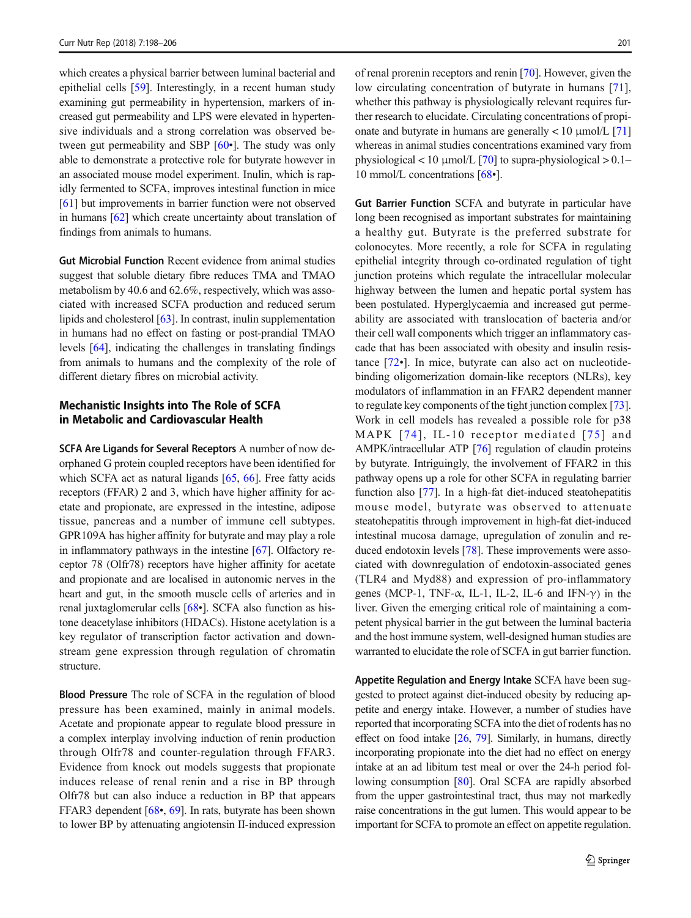which creates a physical barrier between luminal bacterial and epithelial cells [[59\]](#page-7-0). Interestingly, in a recent human study examining gut permeability in hypertension, markers of increased gut permeability and LPS were elevated in hypertensive individuals and a strong correlation was observed between gut permeability and SBP [[60](#page-7-0)•]. The study was only able to demonstrate a protective role for butyrate however in an associated mouse model experiment. Inulin, which is rapidly fermented to SCFA, improves intestinal function in mice [\[61\]](#page-7-0) but improvements in barrier function were not observed in humans [\[62\]](#page-7-0) which create uncertainty about translation of findings from animals to humans.

Gut Microbial Function Recent evidence from animal studies suggest that soluble dietary fibre reduces TMA and TMAO metabolism by 40.6 and 62.6%, respectively, which was associated with increased SCFA production and reduced serum lipids and cholesterol [\[63\]](#page-7-0). In contrast, inulin supplementation in humans had no effect on fasting or post-prandial TMAO levels [\[64](#page-7-0)], indicating the challenges in translating findings from animals to humans and the complexity of the role of different dietary fibres on microbial activity.

## Mechanistic Insights into The Role of SCFA in Metabolic and Cardiovascular Health

SCFA Are Ligands for Several Receptors A number of now deorphaned G protein coupled receptors have been identified for which SCFA act as natural ligands [\[65](#page-7-0), [66\]](#page-7-0). Free fatty acids receptors (FFAR) 2 and 3, which have higher affinity for acetate and propionate, are expressed in the intestine, adipose tissue, pancreas and a number of immune cell subtypes. GPR109A has higher affinity for butyrate and may play a role in inflammatory pathways in the intestine [\[67](#page-7-0)]. Olfactory receptor 78 (Olfr78) receptors have higher affinity for acetate and propionate and are localised in autonomic nerves in the heart and gut, in the smooth muscle cells of arteries and in renal juxtaglomerular cells [\[68](#page-7-0)•]. SCFA also function as histone deacetylase inhibitors (HDACs). Histone acetylation is a key regulator of transcription factor activation and downstream gene expression through regulation of chromatin structure.

Blood Pressure The role of SCFA in the regulation of blood pressure has been examined, mainly in animal models. Acetate and propionate appear to regulate blood pressure in a complex interplay involving induction of renin production through Olfr78 and counter-regulation through FFAR3. Evidence from knock out models suggests that propionate induces release of renal renin and a rise in BP through Olfr78 but can also induce a reduction in BP that appears FFAR3 dependent [[68](#page-7-0)•, [69\]](#page-8-0). In rats, butyrate has been shown to lower BP by attenuating angiotensin II-induced expression of renal prorenin receptors and renin [\[70](#page-8-0)]. However, given the low circulating concentration of butyrate in humans [\[71](#page-8-0)], whether this pathway is physiologically relevant requires further research to elucidate. Circulating concentrations of propionate and butyrate in humans are generally  $< 10 \mu$ mol/L [\[71](#page-8-0)] whereas in animal studies concentrations examined vary from physiological  $< 10 \mu$ mol/L [[70](#page-8-0)] to supra-physiological  $> 0.1$ – 10 mmol/L concentrations [[68](#page-7-0)•].

Gut Barrier Function SCFA and butyrate in particular have long been recognised as important substrates for maintaining a healthy gut. Butyrate is the preferred substrate for colonocytes. More recently, a role for SCFA in regulating epithelial integrity through co-ordinated regulation of tight junction proteins which regulate the intracellular molecular highway between the lumen and hepatic portal system has been postulated. Hyperglycaemia and increased gut permeability are associated with translocation of bacteria and/or their cell wall components which trigger an inflammatory cascade that has been associated with obesity and insulin resistance [\[72](#page-8-0)•]. In mice, butyrate can also act on nucleotidebinding oligomerization domain-like receptors (NLRs), key modulators of inflammation in an FFAR2 dependent manner to regulate key components of the tight junction complex [[73\]](#page-8-0). Work in cell models has revealed a possible role for p38 MAPK  $[74]$ , IL-10 receptor mediated  $[75]$  and AMPK/intracellular ATP [[76](#page-8-0)] regulation of claudin proteins by butyrate. Intriguingly, the involvement of FFAR2 in this pathway opens up a role for other SCFA in regulating barrier function also [\[77](#page-8-0)]. In a high-fat diet-induced steatohepatitis mouse model, butyrate was observed to attenuate steatohepatitis through improvement in high-fat diet-induced intestinal mucosa damage, upregulation of zonulin and reduced endotoxin levels [\[78](#page-8-0)]. These improvements were associated with downregulation of endotoxin-associated genes (TLR4 and Myd88) and expression of pro-inflammatory genes (MCP-1, TNF- $\alpha$ , IL-1, IL-2, IL-6 and IFN- $\gamma$ ) in the liver. Given the emerging critical role of maintaining a competent physical barrier in the gut between the luminal bacteria and the host immune system, well-designed human studies are warranted to elucidate the role of SCFA in gut barrier function.

Appetite Regulation and Energy Intake SCFA have been suggested to protect against diet-induced obesity by reducing appetite and energy intake. However, a number of studies have reported that incorporating SCFA into the diet of rodents has no effect on food intake [[26](#page-6-0), [79\]](#page-8-0). Similarly, in humans, directly incorporating propionate into the diet had no effect on energy intake at an ad libitum test meal or over the 24-h period following consumption [\[80](#page-8-0)]. Oral SCFA are rapidly absorbed from the upper gastrointestinal tract, thus may not markedly raise concentrations in the gut lumen. This would appear to be important for SCFA to promote an effect on appetite regulation.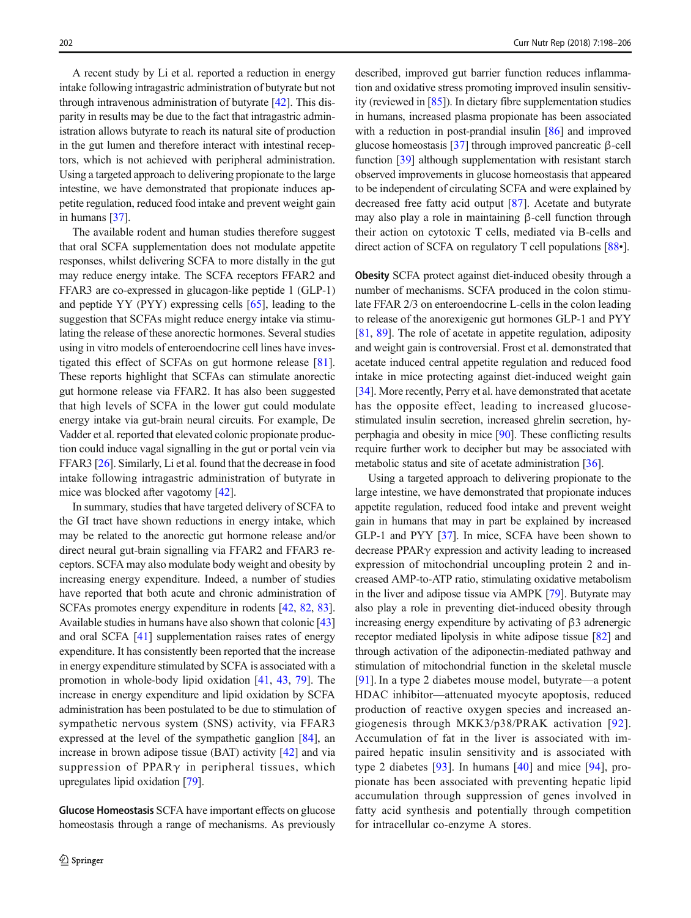A recent study by Li et al. reported a reduction in energy intake following intragastric administration of butyrate but not through intravenous administration of butyrate [\[42\]](#page-7-0). This disparity in results may be due to the fact that intragastric administration allows butyrate to reach its natural site of production in the gut lumen and therefore interact with intestinal receptors, which is not achieved with peripheral administration. Using a targeted approach to delivering propionate to the large intestine, we have demonstrated that propionate induces appetite regulation, reduced food intake and prevent weight gain in humans [\[37](#page-6-0)].

The available rodent and human studies therefore suggest that oral SCFA supplementation does not modulate appetite responses, whilst delivering SCFA to more distally in the gut may reduce energy intake. The SCFA receptors FFAR2 and FFAR3 are co-expressed in glucagon-like peptide 1 (GLP-1) and peptide YY (PYY) expressing cells [[65\]](#page-7-0), leading to the suggestion that SCFAs might reduce energy intake via stimulating the release of these anorectic hormones. Several studies using in vitro models of enteroendocrine cell lines have investigated this effect of SCFAs on gut hormone release [\[81](#page-8-0)]. These reports highlight that SCFAs can stimulate anorectic gut hormone release via FFAR2. It has also been suggested that high levels of SCFA in the lower gut could modulate energy intake via gut-brain neural circuits. For example, De Vadder et al. reported that elevated colonic propionate production could induce vagal signalling in the gut or portal vein via FFAR3 [[26\]](#page-6-0). Similarly, Li et al. found that the decrease in food intake following intragastric administration of butyrate in mice was blocked after vagotomy [\[42](#page-7-0)].

In summary, studies that have targeted delivery of SCFA to the GI tract have shown reductions in energy intake, which may be related to the anorectic gut hormone release and/or direct neural gut-brain signalling via FFAR2 and FFAR3 receptors. SCFA may also modulate body weight and obesity by increasing energy expenditure. Indeed, a number of studies have reported that both acute and chronic administration of SCFAs promotes energy expenditure in rodents [\[42](#page-7-0), [82](#page-8-0), [83\]](#page-8-0). Available studies in humans have also shown that colonic [\[43\]](#page-7-0) and oral SCFA [\[41](#page-7-0)] supplementation raises rates of energy expenditure. It has consistently been reported that the increase in energy expenditure stimulated by SCFA is associated with a promotion in whole-body lipid oxidation [[41](#page-7-0), [43](#page-7-0), [79\]](#page-8-0). The increase in energy expenditure and lipid oxidation by SCFA administration has been postulated to be due to stimulation of sympathetic nervous system (SNS) activity, via FFAR3 expressed at the level of the sympathetic ganglion [[84\]](#page-8-0), an increase in brown adipose tissue (BAT) activity [\[42\]](#page-7-0) and via suppression of PPAR $\gamma$  in peripheral tissues, which upregulates lipid oxidation [[79\]](#page-8-0).

Glucose Homeostasis SCFA have important effects on glucose homeostasis through a range of mechanisms. As previously described, improved gut barrier function reduces inflammation and oxidative stress promoting improved insulin sensitivity (reviewed in [[85\]](#page-8-0)). In dietary fibre supplementation studies in humans, increased plasma propionate has been associated with a reduction in post-prandial insulin [[86\]](#page-8-0) and improved glucose homeostasis [\[37\]](#page-6-0) through improved pancreatic β-cell function [[39\]](#page-6-0) although supplementation with resistant starch observed improvements in glucose homeostasis that appeared to be independent of circulating SCFA and were explained by decreased free fatty acid output [\[87](#page-8-0)]. Acetate and butyrate may also play a role in maintaining β-cell function through their action on cytotoxic T cells, mediated via B-cells and direct action of SCFA on regulatory T cell populations [\[88](#page-8-0)•].

Obesity SCFA protect against diet-induced obesity through a number of mechanisms. SCFA produced in the colon stimulate FFAR 2/3 on enteroendocrine L-cells in the colon leading to release of the anorexigenic gut hormones GLP-1 and PYY [\[81](#page-8-0), [89](#page-8-0)]. The role of acetate in appetite regulation, adiposity and weight gain is controversial. Frost et al. demonstrated that acetate induced central appetite regulation and reduced food intake in mice protecting against diet-induced weight gain [\[34](#page-6-0)]. More recently, Perry et al. have demonstrated that acetate has the opposite effect, leading to increased glucosestimulated insulin secretion, increased ghrelin secretion, hyperphagia and obesity in mice [\[90](#page-8-0)]. These conflicting results require further work to decipher but may be associated with metabolic status and site of acetate administration [\[36](#page-6-0)].

Using a targeted approach to delivering propionate to the large intestine, we have demonstrated that propionate induces appetite regulation, reduced food intake and prevent weight gain in humans that may in part be explained by increased GLP-1 and PYY [\[37](#page-6-0)]. In mice, SCFA have been shown to decrease PPARγ expression and activity leading to increased expression of mitochondrial uncoupling protein 2 and increased AMP-to-ATP ratio, stimulating oxidative metabolism in the liver and adipose tissue via AMPK [\[79](#page-8-0)]. Butyrate may also play a role in preventing diet-induced obesity through increasing energy expenditure by activating of β3 adrenergic receptor mediated lipolysis in white adipose tissue [[82](#page-8-0)] and through activation of the adiponectin-mediated pathway and stimulation of mitochondrial function in the skeletal muscle [\[91](#page-8-0)]. In a type 2 diabetes mouse model, butyrate—a potent HDAC inhibitor—attenuated myocyte apoptosis, reduced production of reactive oxygen species and increased angiogenesis through MKK3/p38/PRAK activation [[92](#page-8-0)]. Accumulation of fat in the liver is associated with impaired hepatic insulin sensitivity and is associated with type 2 diabetes [[93](#page-8-0)]. In humans [[40](#page-6-0)] and mice [[94](#page-8-0)], propionate has been associated with preventing hepatic lipid accumulation through suppression of genes involved in fatty acid synthesis and potentially through competition for intracellular co-enzyme A stores.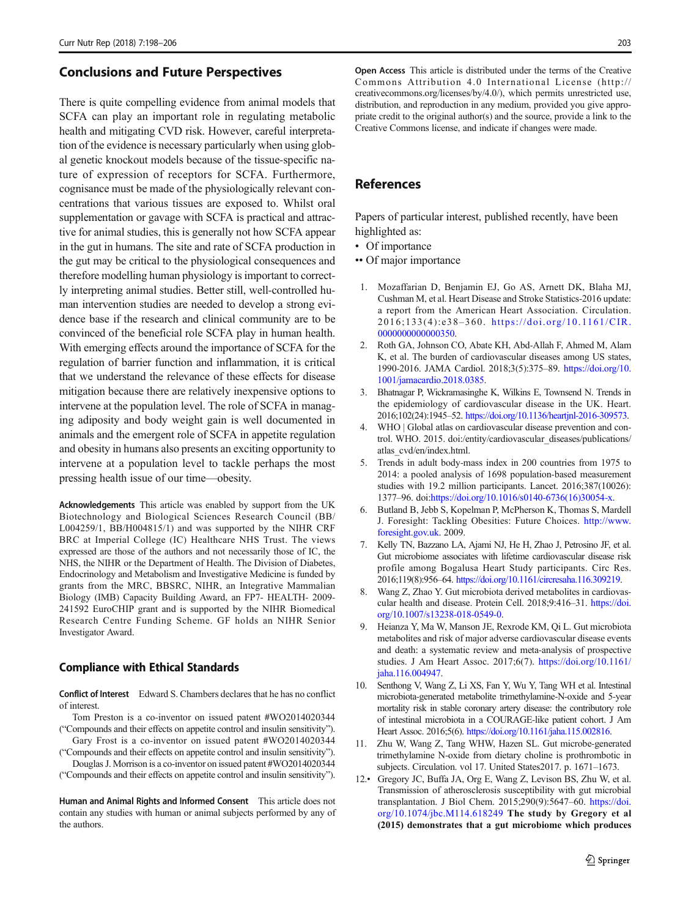## <span id="page-5-0"></span>Conclusions and Future Perspectives

There is quite compelling evidence from animal models that SCFA can play an important role in regulating metabolic health and mitigating CVD risk. However, careful interpretation of the evidence is necessary particularly when using global genetic knockout models because of the tissue-specific nature of expression of receptors for SCFA. Furthermore, cognisance must be made of the physiologically relevant concentrations that various tissues are exposed to. Whilst oral supplementation or gavage with SCFA is practical and attractive for animal studies, this is generally not how SCFA appear in the gut in humans. The site and rate of SCFA production in the gut may be critical to the physiological consequences and therefore modelling human physiology is important to correctly interpreting animal studies. Better still, well-controlled human intervention studies are needed to develop a strong evidence base if the research and clinical community are to be convinced of the beneficial role SCFA play in human health. With emerging effects around the importance of SCFA for the regulation of barrier function and inflammation, it is critical that we understand the relevance of these effects for disease mitigation because there are relatively inexpensive options to intervene at the population level. The role of SCFA in managing adiposity and body weight gain is well documented in animals and the emergent role of SCFA in appetite regulation and obesity in humans also presents an exciting opportunity to intervene at a population level to tackle perhaps the most pressing health issue of our time—obesity.

Acknowledgements This article was enabled by support from the UK Biotechnology and Biological Sciences Research Council (BB/ L004259/1, BB/H004815/1) and was supported by the NIHR CRF BRC at Imperial College (IC) Healthcare NHS Trust. The views expressed are those of the authors and not necessarily those of IC, the NHS, the NIHR or the Department of Health. The Division of Diabetes, Endocrinology and Metabolism and Investigative Medicine is funded by grants from the MRC, BBSRC, NIHR, an Integrative Mammalian Biology (IMB) Capacity Building Award, an FP7- HEALTH- 2009- 241592 EuroCHIP grant and is supported by the NIHR Biomedical Research Centre Funding Scheme. GF holds an NIHR Senior Investigator Award.

#### Compliance with Ethical Standards

Conflict of Interest Edward S. Chambers declares that he has no conflict of interest.

Tom Preston is a co-inventor on issued patent #WO2014020344 ("Compounds and their effects on appetite control and insulin sensitivity").

Gary Frost is a co-inventor on issued patent #WO2014020344 ("Compounds and their effects on appetite control and insulin sensitivity").

Douglas J. Morrison is a co-inventor on issued patent #WO2014020344 ("Compounds and their effects on appetite control and insulin sensitivity").

Human and Animal Rights and Informed Consent This article does not contain any studies with human or animal subjects performed by any of the authors.

Open Access This article is distributed under the terms of the Creative Commons Attribution 4.0 International License (http:// creativecommons.org/licenses/by/4.0/), which permits unrestricted use, distribution, and reproduction in any medium, provided you give appropriate credit to the original author(s) and the source, provide a link to the Creative Commons license, and indicate if changes were made.

# References

Papers of particular interest, published recently, have been highlighted as:

- Of importance
- •• Of major importance
- 1. Mozaffarian D, Benjamin EJ, Go AS, Arnett DK, Blaha MJ, Cushman M, et al. Heart Disease and Stroke Statistics-2016 update: a report from the American Heart Association. Circulation. 2016;133(4):e38–360. [https://doi.org/10.1161/CIR.](https://doi.org/10.1161/CIR.0000000000000350) [0000000000000350.](https://doi.org/10.1161/CIR.0000000000000350)
- 2. Roth GA, Johnson CO, Abate KH, Abd-Allah F, Ahmed M, Alam K, et al. The burden of cardiovascular diseases among US states, 1990-2016. JAMA Cardiol. 2018;3(5):375–89. [https://doi.org/10.](https://doi.org/10.1001/jamacardio.2018.0385) [1001/jamacardio.2018.0385](https://doi.org/10.1001/jamacardio.2018.0385).
- 3. Bhatnagar P, Wickramasinghe K, Wilkins E, Townsend N. Trends in the epidemiology of cardiovascular disease in the UK. Heart. 2016;102(24):1945–52. [https://doi.org/10.1136/heartjnl-2016-309573.](https://doi.org/10.1136/heartjnl-2016-309573)
- 4. WHO | Global atlas on cardiovascular disease prevention and control. WHO. 2015. doi:/entity/cardiovascular\_diseases/publications/ atlas\_cvd/en/index.html.
- 5. Trends in adult body-mass index in 200 countries from 1975 to 2014: a pooled analysis of 1698 population-based measurement studies with 19.2 million participants. Lancet. 2016;387(10026): 1377–96. doi[:https://doi.org/10.1016/s0140-6736\(16\)30054-x](https://doi.org/10.1016/s0140-6736(16)30054-x).
- 6. Butland B, Jebb S, Kopelman P, McPherson K, Thomas S, Mardell J. Foresight: Tackling Obesities: Future Choices. [http://www.](http://www.foresight.gov.uk) [foresight.gov.uk](http://www.foresight.gov.uk). 2009.
- 7. Kelly TN, Bazzano LA, Ajami NJ, He H, Zhao J, Petrosino JF, et al. Gut microbiome associates with lifetime cardiovascular disease risk profile among Bogalusa Heart Study participants. Circ Res. 2016;119(8):956–64. [https://doi.org/10.1161/circresaha.116.309219.](https://doi.org/10.1161/circresaha.116.309219)
- 8. Wang Z, Zhao Y. Gut microbiota derived metabolites in cardiovascular health and disease. Protein Cell. 2018;9:416–31. [https://doi.](https://doi.org/10.1007/s13238-018-0549-0) [org/10.1007/s13238-018-0549-0](https://doi.org/10.1007/s13238-018-0549-0).
- 9. Heianza Y, Ma W, Manson JE, Rexrode KM, Qi L. Gut microbiota metabolites and risk of major adverse cardiovascular disease events and death: a systematic review and meta-analysis of prospective studies. J Am Heart Assoc. 2017;6(7). [https://doi.org/10.1161/](https://doi.org/10.1161/jaha.116.004947) [jaha.116.004947.](https://doi.org/10.1161/jaha.116.004947)
- 10. Senthong V, Wang Z, Li XS, Fan Y, Wu Y, Tang WH et al. Intestinal microbiota-generated metabolite trimethylamine-N-oxide and 5-year mortality risk in stable coronary artery disease: the contributory role of intestinal microbiota in a COURAGE-like patient cohort. J Am Heart Assoc. 2016;5(6). [https://doi.org/10.1161/jaha.115.002816.](https://doi.org/10.1161/jaha.115.002816)
- 11. Zhu W, Wang Z, Tang WHW, Hazen SL. Gut microbe-generated trimethylamine N-oxide from dietary choline is prothrombotic in subjects. Circulation. vol 17. United States2017. p. 1671–1673.
- 12.• Gregory JC, Buffa JA, Org E, Wang Z, Levison BS, Zhu W, et al. Transmission of atherosclerosis susceptibility with gut microbial transplantation. J Biol Chem. 2015;290(9):5647–60. [https://doi.](https://doi.org/10.1074/jbc.M114.618249) [org/10.1074/jbc.M114.618249](https://doi.org/10.1074/jbc.M114.618249) The study by Gregory et al (2015) demonstrates that a gut microbiome which produces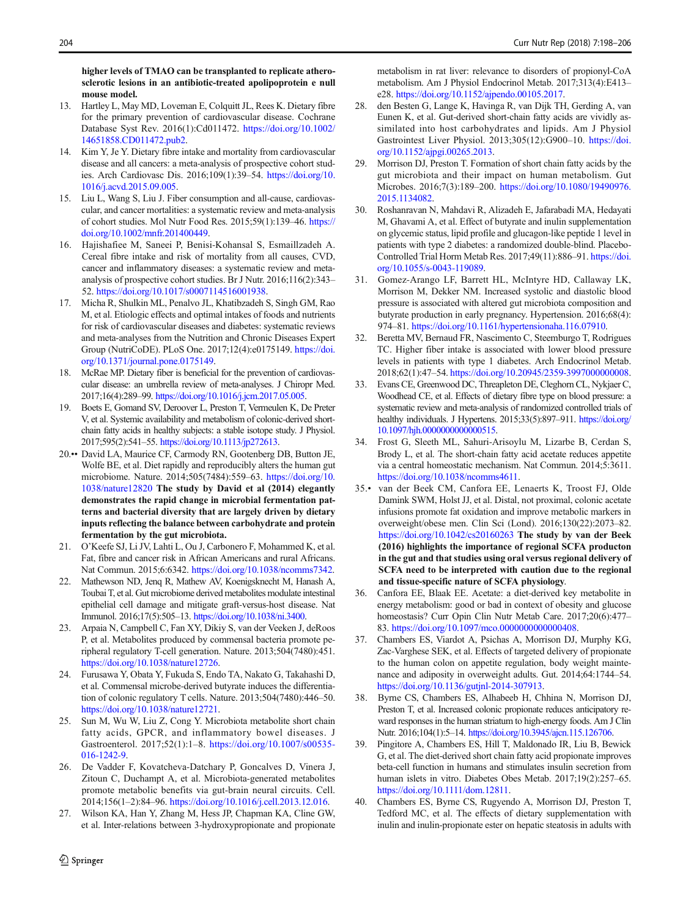<span id="page-6-0"></span>higher levels of TMAO can be transplanted to replicate atherosclerotic lesions in an antibiotic-treated apolipoprotein e null mouse model.

- 13. Hartley L, May MD, Loveman E, Colquitt JL, Rees K. Dietary fibre for the primary prevention of cardiovascular disease. Cochrane Database Syst Rev. 2016(1):Cd011472. [https://doi.org/10.1002/](https://doi.org/10.1002/14651858.CD011472.pub2) [14651858.CD011472.pub2.](https://doi.org/10.1002/14651858.CD011472.pub2)
- Kim Y, Je Y. Dietary fibre intake and mortality from cardiovascular disease and all cancers: a meta-analysis of prospective cohort studies. Arch Cardiovasc Dis. 2016;109(1):39–54. [https://doi.org/10.](https://doi.org/10.1016/j.acvd.2015.09.005) [1016/j.acvd.2015.09.005.](https://doi.org/10.1016/j.acvd.2015.09.005)
- 15. Liu L, Wang S, Liu J. Fiber consumption and all-cause, cardiovascular, and cancer mortalities: a systematic review and meta-analysis of cohort studies. Mol Nutr Food Res. 2015;59(1):139–46. [https://](https://doi.org/10.1002/mnfr.201400449) [doi.org/10.1002/mnfr.201400449](https://doi.org/10.1002/mnfr.201400449).
- 16. Hajishafiee M, Saneei P, Benisi-Kohansal S, Esmaillzadeh A. Cereal fibre intake and risk of mortality from all causes, CVD, cancer and inflammatory diseases: a systematic review and metaanalysis of prospective cohort studies. Br J Nutr. 2016;116(2):343– 52. <https://doi.org/10.1017/s0007114516001938>.
- 17. Micha R, Shulkin ML, Penalvo JL, Khatibzadeh S, Singh GM, Rao M, et al. Etiologic effects and optimal intakes of foods and nutrients for risk of cardiovascular diseases and diabetes: systematic reviews and meta-analyses from the Nutrition and Chronic Diseases Expert Group (NutriCoDE). PLoS One. 2017;12(4):e0175149. [https://doi.](https://doi.org/10.1371/journal.pone.0175149) [org/10.1371/journal.pone.0175149](https://doi.org/10.1371/journal.pone.0175149).
- McRae MP. Dietary fiber is beneficial for the prevention of cardiovascular disease: an umbrella review of meta-analyses. J Chiropr Med. 2017;16(4):289–99. [https://doi.org/10.1016/j.jcm.2017.05.005.](https://doi.org/10.1016/j.jcm.2017.05.005)
- 19. Boets E, Gomand SV, Deroover L, Preston T, Vermeulen K, De Preter V, et al. Systemic availability and metabolism of colonic-derived shortchain fatty acids in healthy subjects: a stable isotope study. J Physiol. 2017;595(2):541–55. <https://doi.org/10.1113/jp272613>.
- 20.•• David LA, Maurice CF, Carmody RN, Gootenberg DB, Button JE, Wolfe BE, et al. Diet rapidly and reproducibly alters the human gut microbiome. Nature. 2014;505(7484):559–63. [https://doi.org/10.](https://doi.org/10.1038/nature12820) [1038/nature12820](https://doi.org/10.1038/nature12820) The study by David et al (2014) elegantly demonstrates the rapid change in microbial fermentation patterns and bacterial diversity that are largely driven by dietary inputs reflecting the balance between carbohydrate and protein fermentation by the gut microbiota.
- 21. O'Keefe SJ, Li JV, Lahti L, Ou J, Carbonero F, Mohammed K, et al. Fat, fibre and cancer risk in African Americans and rural Africans. Nat Commun. 2015;6:6342. [https://doi.org/10.1038/ncomms7342.](https://doi.org/10.1038/ncomms7342)
- 22. Mathewson ND, Jenq R, Mathew AV, Koenigsknecht M, Hanash A, Toubai T, et al. Gut microbiome derived metabolites modulate intestinal epithelial cell damage and mitigate graft-versus-host disease. Nat Immunol. 2016;17(5):505–13. [https://doi.org/10.1038/ni.3400.](https://doi.org/10.1038/ni.3400)
- 23. Arpaia N, Campbell C, Fan XY, Dikiy S, van der Veeken J, deRoos P, et al. Metabolites produced by commensal bacteria promote peripheral regulatory T-cell generation. Nature. 2013;504(7480):451. [https://doi.org/10.1038/nature12726.](https://doi.org/10.1038/nature12726)
- 24. Furusawa Y, Obata Y, Fukuda S, Endo TA, Nakato G, Takahashi D, et al. Commensal microbe-derived butyrate induces the differentiation of colonic regulatory T cells. Nature. 2013;504(7480):446–50. [https://doi.org/10.1038/nature12721.](https://doi.org/10.1038/nature12721)
- 25. Sun M, Wu W, Liu Z, Cong Y. Microbiota metabolite short chain fatty acids, GPCR, and inflammatory bowel diseases. J Gastroenterol. 2017;52(1):1–8. [https://doi.org/10.1007/s00535-](https://doi.org/10.1007/s00535-016-1242-9) [016-1242-9](https://doi.org/10.1007/s00535-016-1242-9).
- 26. De Vadder F, Kovatcheva-Datchary P, Goncalves D, Vinera J, Zitoun C, Duchampt A, et al. Microbiota-generated metabolites promote metabolic benefits via gut-brain neural circuits. Cell. 2014;156(1–2):84–96. [https://doi.org/10.1016/j.cell.2013.12.016.](https://doi.org/10.1016/j.cell.2013.12.016)
- 27. Wilson KA, Han Y, Zhang M, Hess JP, Chapman KA, Cline GW, et al. Inter-relations between 3-hydroxypropionate and propionate

2 Springer

metabolism in rat liver: relevance to disorders of propionyl-CoA metabolism. Am J Physiol Endocrinol Metab. 2017;313(4):E413– e28. <https://doi.org/10.1152/ajpendo.00105.2017>.

- 28. den Besten G, Lange K, Havinga R, van Dijk TH, Gerding A, van Eunen K, et al. Gut-derived short-chain fatty acids are vividly assimilated into host carbohydrates and lipids. Am J Physiol Gastrointest Liver Physiol. 2013;305(12):G900–10. [https://doi.](https://doi.org/10.1152/ajpgi.00265.2013) [org/10.1152/ajpgi.00265.2013.](https://doi.org/10.1152/ajpgi.00265.2013)
- 29. Morrison DJ, Preston T. Formation of short chain fatty acids by the gut microbiota and their impact on human metabolism. Gut Microbes. 2016;7(3):189–200. [https://doi.org/10.1080/19490976.](https://doi.org/10.1080/19490976.2015.1134082) [2015.1134082](https://doi.org/10.1080/19490976.2015.1134082).
- 30. Roshanravan N, Mahdavi R, Alizadeh E, Jafarabadi MA, Hedayati M, Ghavami A, et al. Effect of butyrate and inulin supplementation on glycemic status, lipid profile and glucagon-like peptide 1 level in patients with type 2 diabetes: a randomized double-blind. Placebo-Controlled Trial Horm Metab Res. 2017;49(11):886–91. [https://doi.](https://doi.org/10.1055/s-0043-119089) [org/10.1055/s-0043-119089.](https://doi.org/10.1055/s-0043-119089)
- 31. Gomez-Arango LF, Barrett HL, McIntyre HD, Callaway LK, Morrison M, Dekker NM. Increased systolic and diastolic blood pressure is associated with altered gut microbiota composition and butyrate production in early pregnancy. Hypertension. 2016;68(4): 974–81. [https://doi.org/10.1161/hypertensionaha.116.07910.](https://doi.org/10.1161/hypertensionaha.116.07910)
- 32. Beretta MV, Bernaud FR, Nascimento C, Steemburgo T, Rodrigues TC. Higher fiber intake is associated with lower blood pressure levels in patients with type 1 diabetes. Arch Endocrinol Metab. 2018;62(1):47–54. <https://doi.org/10.20945/2359-3997000000008>.
- 33. Evans CE, Greenwood DC, Threapleton DE, Cleghorn CL, Nykjaer C, Woodhead CE, et al. Effects of dietary fibre type on blood pressure: a systematic review and meta-analysis of randomized controlled trials of healthy individuals. J Hypertens. 2015;33(5):897-911. [https://doi.org/](https://doi.org/10.1097/hjh.0000000000000515) [10.1097/hjh.0000000000000515](https://doi.org/10.1097/hjh.0000000000000515).
- 34. Frost G, Sleeth ML, Sahuri-Arisoylu M, Lizarbe B, Cerdan S, Brody L, et al. The short-chain fatty acid acetate reduces appetite via a central homeostatic mechanism. Nat Commun. 2014;5:3611. [https://doi.org/10.1038/ncomms4611.](https://doi.org/10.1038/ncomms4611)
- 35.• van der Beek CM, Canfora EE, Lenaerts K, Troost FJ, Olde Damink SWM, Holst JJ, et al. Distal, not proximal, colonic acetate infusions promote fat oxidation and improve metabolic markers in overweight/obese men. Clin Sci (Lond). 2016;130(22):2073–82. <https://doi.org/10.1042/cs20160263> The study by van der Beek (2016) highlights the importance of regional SCFA producton in the gut and that studies using oral versus regional delivery of SCFA need to be interpreted with caution due to the regional and tissue-specific nature of SCFA physiology.
- 36. Canfora EE, Blaak EE. Acetate: a diet-derived key metabolite in energy metabolism: good or bad in context of obesity and glucose homeostasis? Curr Opin Clin Nutr Metab Care. 2017;20(6):477– 83. <https://doi.org/10.1097/mco.0000000000000408>.
- 37. Chambers ES, Viardot A, Psichas A, Morrison DJ, Murphy KG, Zac-Varghese SEK, et al. Effects of targeted delivery of propionate to the human colon on appetite regulation, body weight maintenance and adiposity in overweight adults. Gut. 2014;64:1744–54. <https://doi.org/10.1136/gutjnl-2014-307913>.
- 38. Byrne CS, Chambers ES, Alhabeeb H, Chhina N, Morrison DJ, Preston T, et al. Increased colonic propionate reduces anticipatory reward responses in the human striatum to high-energy foods. Am J Clin Nutr. 2016;104(1):5–14. <https://doi.org/10.3945/ajcn.115.126706>.
- 39. Pingitore A, Chambers ES, Hill T, Maldonado IR, Liu B, Bewick G, et al. The diet-derived short chain fatty acid propionate improves beta-cell function in humans and stimulates insulin secretion from human islets in vitro. Diabetes Obes Metab. 2017;19(2):257–65. <https://doi.org/10.1111/dom.12811>.
- 40. Chambers ES, Byrne CS, Rugyendo A, Morrison DJ, Preston T, Tedford MC, et al. The effects of dietary supplementation with inulin and inulin-propionate ester on hepatic steatosis in adults with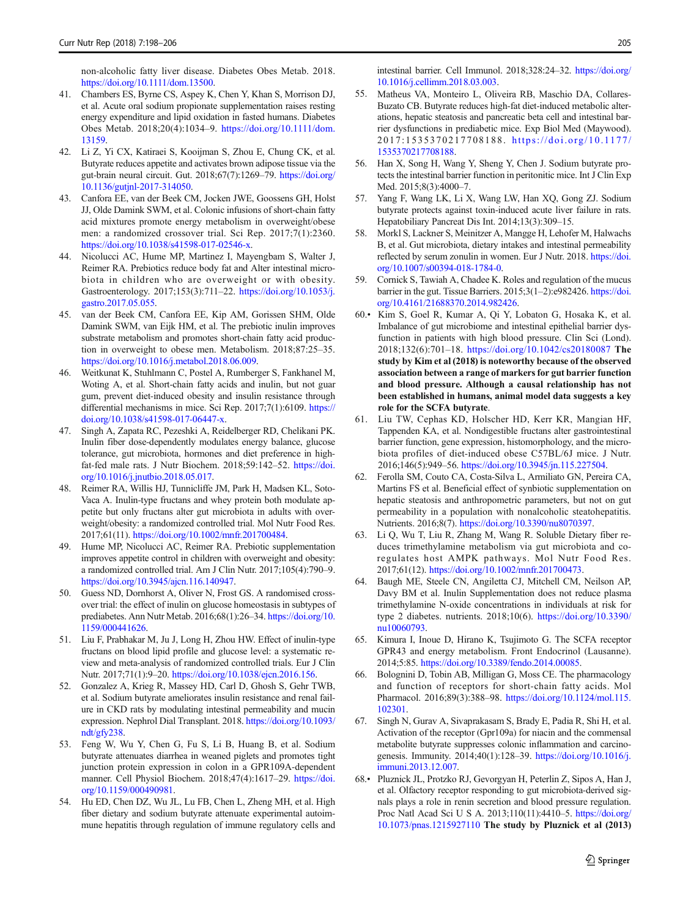<span id="page-7-0"></span>non-alcoholic fatty liver disease. Diabetes Obes Metab. 2018. [https://doi.org/10.1111/dom.13500.](https://doi.org/10.1111/dom.13500)

- 41. Chambers ES, Byrne CS, Aspey K, Chen Y, Khan S, Morrison DJ, et al. Acute oral sodium propionate supplementation raises resting energy expenditure and lipid oxidation in fasted humans. Diabetes Obes Metab. 2018;20(4):1034–9. [https://doi.org/10.1111/dom.](https://doi.org/10.1111/dom.13159) [13159.](https://doi.org/10.1111/dom.13159)
- 42. Li Z, Yi CX, Katiraei S, Kooijman S, Zhou E, Chung CK, et al. Butyrate reduces appetite and activates brown adipose tissue via the gut-brain neural circuit. Gut. 2018;67(7):1269–79. [https://doi.org/](https://doi.org/10.1136/gutjnl-2017-314050) [10.1136/gutjnl-2017-314050](https://doi.org/10.1136/gutjnl-2017-314050).
- 43. Canfora EE, van der Beek CM, Jocken JWE, Goossens GH, Holst JJ, Olde Damink SWM, et al. Colonic infusions of short-chain fatty acid mixtures promote energy metabolism in overweight/obese men: a randomized crossover trial. Sci Rep. 2017;7(1):2360. [https://doi.org/10.1038/s41598-017-02546-x.](https://doi.org/10.1038/s41598-017-02546-x)
- 44. Nicolucci AC, Hume MP, Martinez I, Mayengbam S, Walter J, Reimer RA. Prebiotics reduce body fat and Alter intestinal microbiota in children who are overweight or with obesity. Gastroenterology. 2017;153(3):711–22. [https://doi.org/10.1053/j.](https://doi.org/10.1053/j.gastro.2017.05.055) [gastro.2017.05.055](https://doi.org/10.1053/j.gastro.2017.05.055).
- 45. van der Beek CM, Canfora EE, Kip AM, Gorissen SHM, Olde Damink SWM, van Eijk HM, et al. The prebiotic inulin improves substrate metabolism and promotes short-chain fatty acid production in overweight to obese men. Metabolism. 2018;87:25–35. [https://doi.org/10.1016/j.metabol.2018.06.009.](https://doi.org/10.1016/j.metabol.2018.06.009)
- 46. Weitkunat K, Stuhlmann C, Postel A, Rumberger S, Fankhanel M, Woting A, et al. Short-chain fatty acids and inulin, but not guar gum, prevent diet-induced obesity and insulin resistance through differential mechanisms in mice. Sci Rep. 2017;7(1):6109. [https://](https://doi.org/10.1038/s41598-017-06447-x) [doi.org/10.1038/s41598-017-06447-x.](https://doi.org/10.1038/s41598-017-06447-x)
- 47. Singh A, Zapata RC, Pezeshki A, Reidelberger RD, Chelikani PK. Inulin fiber dose-dependently modulates energy balance, glucose tolerance, gut microbiota, hormones and diet preference in highfat-fed male rats. J Nutr Biochem. 2018;59:142–52. [https://doi.](https://doi.org/10.1016/j.jnutbio.2018.05.017) [org/10.1016/j.jnutbio.2018.05.017.](https://doi.org/10.1016/j.jnutbio.2018.05.017)
- 48. Reimer RA, Willis HJ, Tunnicliffe JM, Park H, Madsen KL, Soto-Vaca A. Inulin-type fructans and whey protein both modulate appetite but only fructans alter gut microbiota in adults with overweight/obesity: a randomized controlled trial. Mol Nutr Food Res. 2017;61(11). <https://doi.org/10.1002/mnfr.201700484>.
- 49. Hume MP, Nicolucci AC, Reimer RA. Prebiotic supplementation improves appetite control in children with overweight and obesity: a randomized controlled trial. Am J Clin Nutr. 2017;105(4):790–9. [https://doi.org/10.3945/ajcn.116.140947.](https://doi.org/10.3945/ajcn.116.140947)
- Guess ND, Dornhorst A, Oliver N, Frost GS. A randomised crossover trial: the effect of inulin on glucose homeostasis in subtypes of prediabetes. Ann Nutr Metab. 2016;68(1):26–34. [https://doi.org/10.](https://doi.org/10.1159/000441626) [1159/000441626.](https://doi.org/10.1159/000441626)
- 51. Liu F, Prabhakar M, Ju J, Long H, Zhou HW. Effect of inulin-type fructans on blood lipid profile and glucose level: a systematic review and meta-analysis of randomized controlled trials. Eur J Clin Nutr. 2017;71(1):9–20. [https://doi.org/10.1038/ejcn.2016.156.](https://doi.org/10.1038/ejcn.2016.156)
- 52. Gonzalez A, Krieg R, Massey HD, Carl D, Ghosh S, Gehr TWB, et al. Sodium butyrate ameliorates insulin resistance and renal failure in CKD rats by modulating intestinal permeability and mucin expression. Nephrol Dial Transplant. 2018. [https://doi.org/10.1093/](https://doi.org/10.1093/ndt/gfy238) [ndt/gfy238](https://doi.org/10.1093/ndt/gfy238).
- 53. Feng W, Wu Y, Chen G, Fu S, Li B, Huang B, et al. Sodium butyrate attenuates diarrhea in weaned piglets and promotes tight junction protein expression in colon in a GPR109A-dependent manner. Cell Physiol Biochem. 2018;47(4):1617–29. [https://doi.](https://doi.org/10.1159/000490981) [org/10.1159/000490981](https://doi.org/10.1159/000490981).
- 54. Hu ED, Chen DZ, Wu JL, Lu FB, Chen L, Zheng MH, et al. High fiber dietary and sodium butyrate attenuate experimental autoimmune hepatitis through regulation of immune regulatory cells and

intestinal barrier. Cell Immunol. 2018;328:24–32. [https://doi.org/](https://doi.org/10.1016/j.cellimm.2018.03.003) [10.1016/j.cellimm.2018.03.003](https://doi.org/10.1016/j.cellimm.2018.03.003).

- 55. Matheus VA, Monteiro L, Oliveira RB, Maschio DA, Collares-Buzato CB. Butyrate reduces high-fat diet-induced metabolic alterations, hepatic steatosis and pancreatic beta cell and intestinal barrier dysfunctions in prediabetic mice. Exp Biol Med (Maywood). 2017:1535370217708188. [https://doi.org/10.1177/](https://doi.org/10.1177/1535370217708188) [1535370217708188.](https://doi.org/10.1177/1535370217708188)
- 56. Han X, Song H, Wang Y, Sheng Y, Chen J. Sodium butyrate protects the intestinal barrier function in peritonitic mice. Int J Clin Exp Med. 2015;8(3):4000-7.
- 57. Yang F, Wang LK, Li X, Wang LW, Han XQ, Gong ZJ. Sodium butyrate protects against toxin-induced acute liver failure in rats. Hepatobiliary Pancreat Dis Int. 2014;13(3):309–15.
- 58. Morkl S, Lackner S, Meinitzer A, Mangge H, Lehofer M, Halwachs B, et al. Gut microbiota, dietary intakes and intestinal permeability reflected by serum zonulin in women. Eur J Nutr. 2018. [https://doi.](https://doi.org/10.1007/s00394-018-1784-0) [org/10.1007/s00394-018-1784-0](https://doi.org/10.1007/s00394-018-1784-0).
- 59. Cornick S, Tawiah A, Chadee K. Roles and regulation of the mucus barrier in the gut. Tissue Barriers. 2015;3(1–2):e982426. [https://doi.](https://doi.org/10.4161/21688370.2014.982426) [org/10.4161/21688370.2014.982426.](https://doi.org/10.4161/21688370.2014.982426)
- 60.• Kim S, Goel R, Kumar A, Qi Y, Lobaton G, Hosaka K, et al. Imbalance of gut microbiome and intestinal epithelial barrier dysfunction in patients with high blood pressure. Clin Sci (Lond). 2018;132(6):701–18. <https://doi.org/10.1042/cs20180087> The study by Kim et al (2018) is noteworthy because of the observed association between a range of markers for gut barrier function and blood pressure. Although a causal relationship has not been established in humans, animal model data suggests a key role for the SCFA butyrate.
- 61. Liu TW, Cephas KD, Holscher HD, Kerr KR, Mangian HF, Tappenden KA, et al. Nondigestible fructans alter gastrointestinal barrier function, gene expression, histomorphology, and the microbiota profiles of diet-induced obese C57BL/6J mice. J Nutr. 2016;146(5):949–56. <https://doi.org/10.3945/jn.115.227504>.
- 62. Ferolla SM, Couto CA, Costa-Silva L, Armiliato GN, Pereira CA, Martins FS et al. Beneficial effect of synbiotic supplementation on hepatic steatosis and anthropometric parameters, but not on gut permeability in a population with nonalcoholic steatohepatitis. Nutrients. 2016;8(7). <https://doi.org/10.3390/nu8070397>.
- 63. Li Q, Wu T, Liu R, Zhang M, Wang R. Soluble Dietary fiber reduces trimethylamine metabolism via gut microbiota and coregulates host AMPK pathways. Mol Nutr Food Res. 2017;61(12). [https://doi.org/10.1002/mnfr.201700473.](https://doi.org/10.1002/mnfr.201700473)
- 64. Baugh ME, Steele CN, Angiletta CJ, Mitchell CM, Neilson AP, Davy BM et al. Inulin Supplementation does not reduce plasma trimethylamine N-oxide concentrations in individuals at risk for type 2 diabetes. nutrients. 2018;10(6). [https://doi.org/10.3390/](https://doi.org/10.3390/nu10060793) [nu10060793.](https://doi.org/10.3390/nu10060793)
- 65. Kimura I, Inoue D, Hirano K, Tsujimoto G. The SCFA receptor GPR43 and energy metabolism. Front Endocrinol (Lausanne). 2014;5:85. [https://doi.org/10.3389/fendo.2014.00085.](https://doi.org/10.3389/fendo.2014.00085)
- 66. Bolognini D, Tobin AB, Milligan G, Moss CE. The pharmacology and function of receptors for short-chain fatty acids. Mol Pharmacol. 2016;89(3):388–98. [https://doi.org/10.1124/mol.115.](https://doi.org/10.1124/mol.115.102301) [102301.](https://doi.org/10.1124/mol.115.102301)
- 67. Singh N, Gurav A, Sivaprakasam S, Brady E, Padia R, Shi H, et al. Activation of the receptor (Gpr109a) for niacin and the commensal metabolite butyrate suppresses colonic inflammation and carcinogenesis. Immunity. 2014;40(1):128–39. [https://doi.org/10.1016/j.](https://doi.org/10.1016/j.immuni.2013.12.007) [immuni.2013.12.007.](https://doi.org/10.1016/j.immuni.2013.12.007)
- 68.• Pluznick JL, Protzko RJ, Gevorgyan H, Peterlin Z, Sipos A, Han J, et al. Olfactory receptor responding to gut microbiota-derived signals plays a role in renin secretion and blood pressure regulation. Proc Natl Acad Sci U S A. 2013;110(11):4410–5. [https://doi.org/](https://doi.org/10.1073/pnas.1215927110) [10.1073/pnas.1215927110](https://doi.org/10.1073/pnas.1215927110) The study by Pluznick et al (2013)